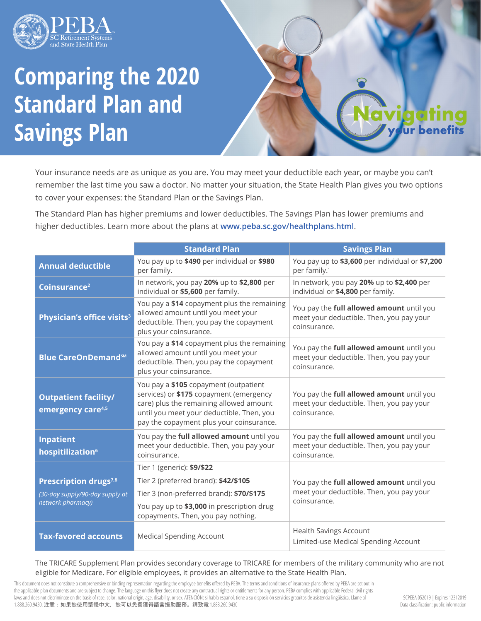

## **Comparing the 2020 Standard Plan and Savings Plan**

Your insurance needs are as unique as you are. You may meet your deductible each year, or maybe you can't remember the last time you saw a doctor. No matter your situation, the State Health Plan gives you two options to cover your expenses: the Standard Plan or the Savings Plan.

The Standard Plan has higher premiums and lower deductibles. The Savings Plan has lower premiums and higher deductibles. Learn more about the plans at **www.peba.sc.gov/healthplans.html**.

|                                                              | <b>Standard Plan</b>                                                                                                                                                                                                 | <b>Savings Plan</b>                                                                                   |  |
|--------------------------------------------------------------|----------------------------------------------------------------------------------------------------------------------------------------------------------------------------------------------------------------------|-------------------------------------------------------------------------------------------------------|--|
| <b>Annual deductible</b>                                     | You pay up to \$490 per individual or \$980<br>per family.                                                                                                                                                           | You pay up to \$3,600 per individual or \$7,200<br>per family. <sup>1</sup>                           |  |
| Coinsurance <sup>2</sup>                                     | In network, you pay 20% up to \$2,800 per<br>In network, you pay 20% up to \$2,400 per<br>individual or \$5,600 per family.<br>individual or \$4,800 per family.                                                     |                                                                                                       |  |
| Physician's office visits <sup>3</sup>                       | You pay a \$14 copayment plus the remaining<br>allowed amount until you meet your<br>deductible. Then, you pay the copayment<br>plus your coinsurance.                                                               | You pay the full allowed amount until you<br>meet your deductible. Then, you pay your<br>coinsurance. |  |
| <b>Blue CareOnDemand<sup>5M</sup></b>                        | You pay a \$14 copayment plus the remaining<br>allowed amount until you meet your<br>deductible. Then, you pay the copayment<br>plus your coinsurance.                                                               | You pay the full allowed amount until you<br>meet your deductible. Then, you pay your<br>coinsurance. |  |
| <b>Outpatient facility/</b><br>emergency care <sup>4,5</sup> | You pay a \$105 copayment (outpatient<br>services) or \$175 copayment (emergency<br>care) plus the remaining allowed amount<br>until you meet your deductible. Then, you<br>pay the copayment plus your coinsurance. | You pay the full allowed amount until you<br>meet your deductible. Then, you pay your<br>coinsurance. |  |
| <b>Inpatient</b><br>hospitilization <sup>6</sup>             | You pay the full allowed amount until you<br>meet your deductible. Then, you pay your<br>coinsurance.                                                                                                                | You pay the full allowed amount until you<br>meet your deductible. Then, you pay your<br>coinsurance. |  |
|                                                              | Tier 1 (generic): \$9/\$22                                                                                                                                                                                           | You pay the full allowed amount until you<br>meet your deductible. Then, you pay your<br>coinsurance. |  |
| Prescription drugs <sup>7,8</sup>                            | Tier 2 (preferred brand): \$42/\$105                                                                                                                                                                                 |                                                                                                       |  |
| (30-day supply/90-day supply at<br>network pharmacy)         | Tier 3 (non-preferred brand): \$70/\$175                                                                                                                                                                             |                                                                                                       |  |
|                                                              | You pay up to \$3,000 in prescription drug<br>copayments. Then, you pay nothing.                                                                                                                                     |                                                                                                       |  |
| <b>Tax-favored accounts</b>                                  | <b>Medical Spending Account</b>                                                                                                                                                                                      | <b>Health Savings Account</b><br>Limited-use Medical Spending Account                                 |  |

The TRICARE Supplement Plan provides secondary coverage to TRICARE for members of the military community who are not eligible for Medicare. For eligible employees, it provides an alternative to the State Health Plan.

This document does not constitute a comprehensive or binding representation regarding the employee benefits offered by PEBA. The terms and conditions of insurance plans offered by PEBA are set out in the applicable plan documents and are subject to change. The language on this flyer does not create any contractual rights or entitlements for any person. PEBA complies with applicable Federal civil rights laws and does not discriminate on the basis of race, color, national origin, age, disability, or sex. ATENCIÓN: si habla español, tiene a su disposición servicios gratuitos de asistencia lingüística. Llame al 1.888.260.9430. 注意:如果您使用繁體中文,您可以免費獲得語言援助服務。請致電 1.888.260.9430